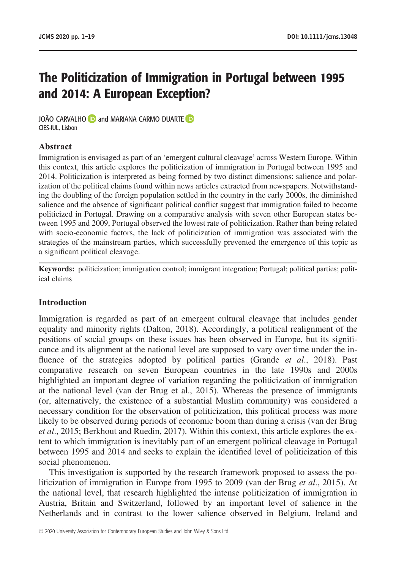# The Politicization of Immigration in Portugal between 1995 and 2014: A European Exception?

JOÃO CARVALHO **D** and MARIANA CARMO DUARTE D CIES-IUL, Lisbon

# **Abstract**

Immigration is envisaged as part of an 'emergent cultural cleavage' across Western Europe. Within this context, this article explores the politicization of immigration in Portugal between 1995 and 2014. Politicization is interpreted as being formed by two distinct dimensions: salience and polarization of the political claims found within news articles extracted from newspapers. Notwithstanding the doubling of the foreign population settled in the country in the early 2000s, the diminished salience and the absence of significant political conflict suggest that immigration failed to become politicized in Portugal. Drawing on a comparative analysis with seven other European states between 1995 and 2009, Portugal observed the lowest rate of politicization. Rather than being related with socio-economic factors, the lack of politicization of immigration was associated with the strategies of the mainstream parties, which successfully prevented the emergence of this topic as a significant political cleavage.

**Keywords:** politicization; immigration control; immigrant integration; Portugal; political parties; political claims

#### **Introduction**

Immigration is regarded as part of an emergent cultural cleavage that includes gender equality and minority rights (Dalton, 2018). Accordingly, a political realignment of the positions of social groups on these issues has been observed in Europe, but its significance and its alignment at the national level are supposed to vary over time under the influence of the strategies adopted by political parties (Grande *et al*., 2018). Past comparative research on seven European countries in the late 1990s and 2000s highlighted an important degree of variation regarding the politicization of immigration at the national level (van der Brug et al., 2015). Whereas the presence of immigrants (or, alternatively, the existence of a substantial Muslim community) was considered a necessary condition for the observation of politicization, this political process was more likely to be observed during periods of economic boom than during a crisis (van der Brug *et al*., 2015; Berkhout and Ruedin, 2017). Within this context, this article explores the extent to which immigration is inevitably part of an emergent political cleavage in Portugal between 1995 and 2014 and seeks to explain the identified level of politicization of this social phenomenon.

This investigation is supported by the research framework proposed to assess the politicization of immigration in Europe from 1995 to 2009 (van der Brug *et al*., 2015). At the national level, that research highlighted the intense politicization of immigration in Austria, Britain and Switzerland, followed by an important level of salience in the Netherlands and in contrast to the lower salience observed in Belgium, Ireland and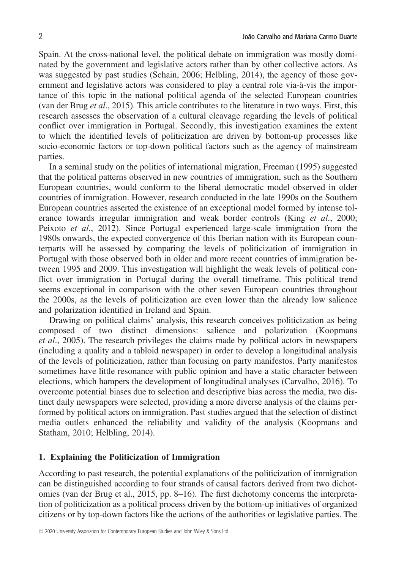Spain. At the cross-national level, the political debate on immigration was mostly dominated by the government and legislative actors rather than by other collective actors. As was suggested by past studies (Schain, 2006; Helbling, 2014), the agency of those government and legislative actors was considered to play a central role via-à-vis the importance of this topic in the national political agenda of the selected European countries (van der Brug *et al*., 2015). This article contributes to the literature in two ways. First, this research assesses the observation of a cultural cleavage regarding the levels of political conflict over immigration in Portugal. Secondly, this investigation examines the extent to which the identified levels of politicization are driven by bottom-up processes like socio-economic factors or top-down political factors such as the agency of mainstream parties.

In a seminal study on the politics of international migration, Freeman (1995) suggested that the political patterns observed in new countries of immigration, such as the Southern European countries, would conform to the liberal democratic model observed in older countries of immigration. However, research conducted in the late 1990s on the Southern European countries asserted the existence of an exceptional model formed by intense tolerance towards irregular immigration and weak border controls (King *et al*., 2000; Peixoto *et al*., 2012). Since Portugal experienced large-scale immigration from the 1980s onwards, the expected convergence of this Iberian nation with its European counterparts will be assessed by comparing the levels of politicization of immigration in Portugal with those observed both in older and more recent countries of immigration between 1995 and 2009. This investigation will highlight the weak levels of political conflict over immigration in Portugal during the overall timeframe. This political trend seems exceptional in comparison with the other seven European countries throughout the 2000s, as the levels of politicization are even lower than the already low salience and polarization identified in Ireland and Spain.

Drawing on political claims' analysis, this research conceives politicization as being composed of two distinct dimensions: salience and polarization (Koopmans *et al*., 2005). The research privileges the claims made by political actors in newspapers (including a quality and a tabloid newspaper) in order to develop a longitudinal analysis of the levels of politicization, rather than focusing on party manifestos. Party manifestos sometimes have little resonance with public opinion and have a static character between elections, which hampers the development of longitudinal analyses (Carvalho, 2016). To overcome potential biases due to selection and descriptive bias across the media, two distinct daily newspapers were selected, providing a more diverse analysis of the claims performed by political actors on immigration. Past studies argued that the selection of distinct media outlets enhanced the reliability and validity of the analysis (Koopmans and Statham, 2010; Helbling, 2014).

# **1. Explaining the Politicization of Immigration**

According to past research, the potential explanations of the politicization of immigration can be distinguished according to four strands of causal factors derived from two dichotomies (van der Brug et al., 2015, pp. 8–16). The first dichotomy concerns the interpretation of politicization as a political process driven by the bottom-up initiatives of organized citizens or by top-down factors like the actions of the authorities or legislative parties. The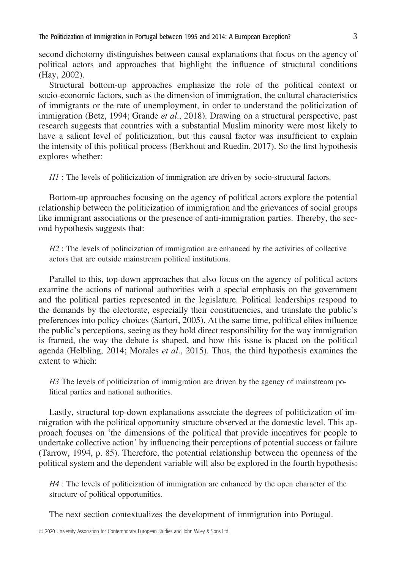second dichotomy distinguishes between causal explanations that focus on the agency of political actors and approaches that highlight the influence of structural conditions (Hay, 2002).

Structural bottom-up approaches emphasize the role of the political context or socio-economic factors, such as the dimension of immigration, the cultural characteristics of immigrants or the rate of unemployment, in order to understand the politicization of immigration (Betz, 1994; Grande *et al*., 2018). Drawing on a structural perspective, past research suggests that countries with a substantial Muslim minority were most likely to have a salient level of politicization, but this causal factor was insufficient to explain the intensity of this political process (Berkhout and Ruedin, 2017). So the first hypothesis explores whether:

*H1* : The levels of politicization of immigration are driven by socio-structural factors.

Bottom-up approaches focusing on the agency of political actors explore the potential relationship between the politicization of immigration and the grievances of social groups like immigrant associations or the presence of anti-immigration parties. Thereby, the second hypothesis suggests that:

*H2* : The levels of politicization of immigration are enhanced by the activities of collective actors that are outside mainstream political institutions.

Parallel to this, top-down approaches that also focus on the agency of political actors examine the actions of national authorities with a special emphasis on the government and the political parties represented in the legislature. Political leaderships respond to the demands by the electorate, especially their constituencies, and translate the public's preferences into policy choices (Sartori, 2005). At the same time, political elites influence the public's perceptions, seeing as they hold direct responsibility for the way immigration is framed, the way the debate is shaped, and how this issue is placed on the political agenda (Helbling, 2014; Morales *et al*., 2015). Thus, the third hypothesis examines the extent to which:

*H3* The levels of politicization of immigration are driven by the agency of mainstream political parties and national authorities.

Lastly, structural top-down explanations associate the degrees of politicization of immigration with the political opportunity structure observed at the domestic level. This approach focuses on 'the dimensions of the political that provide incentives for people to undertake collective action' by influencing their perceptions of potential success or failure (Tarrow, 1994, p. 85). Therefore, the potential relationship between the openness of the political system and the dependent variable will also be explored in the fourth hypothesis:

*H4* : The levels of politicization of immigration are enhanced by the open character of the structure of political opportunities.

The next section contextualizes the development of immigration into Portugal.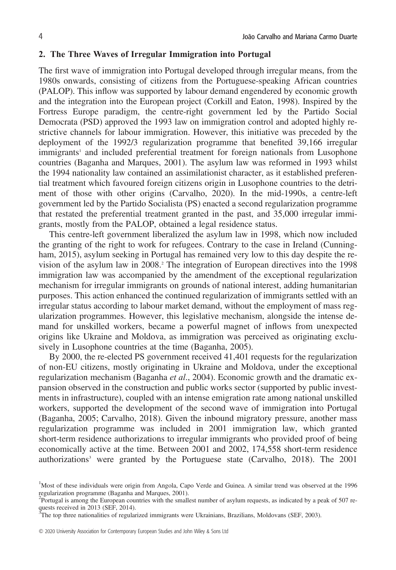# **2. The Three Waves of Irregular Immigration into Portugal**

The first wave of immigration into Portugal developed through irregular means, from the 1980s onwards, consisting of citizens from the Portuguese-speaking African countries (PALOP). This inflow was supported by labour demand engendered by economic growth and the integration into the European project (Corkill and Eaton, 1998). Inspired by the Fortress Europe paradigm, the centre-right government led by the Partido Social Democrata (PSD) approved the 1993 law on immigration control and adopted highly restrictive channels for labour immigration. However, this initiative was preceded by the deployment of the 1992/3 regularization programme that benefited 39,166 irregular immigrants<sup>1</sup> and included preferential treatment for foreign nationals from Lusophone countries (Baganha and Marques, 2001). The asylum law was reformed in 1993 whilst the 1994 nationality law contained an assimilationist character, as it established preferential treatment which favoured foreign citizens origin in Lusophone countries to the detriment of those with other origins (Carvalho, 2020). In the mid-1990s, a centre-left government led by the Partido Socialista (PS) enacted a second regularization programme that restated the preferential treatment granted in the past, and 35,000 irregular immigrants, mostly from the PALOP, obtained a legal residence status.

This centre-left government liberalized the asylum law in 1998, which now included the granting of the right to work for refugees. Contrary to the case in Ireland (Cunningham, 2015), asylum seeking in Portugal has remained very low to this day despite the revision of the asylum law in 2008.2 The integration of European directives into the 1998 immigration law was accompanied by the amendment of the exceptional regularization mechanism for irregular immigrants on grounds of national interest, adding humanitarian purposes. This action enhanced the continued regularization of immigrants settled with an irregular status according to labour market demand, without the employment of mass regularization programmes. However, this legislative mechanism, alongside the intense demand for unskilled workers, became a powerful magnet of inflows from unexpected origins like Ukraine and Moldova, as immigration was perceived as originating exclusively in Lusophone countries at the time (Baganha, 2005).

By 2000, the re-elected PS government received 41,401 requests for the regularization of non-EU citizens, mostly originating in Ukraine and Moldova, under the exceptional regularization mechanism (Baganha *et al*., 2004). Economic growth and the dramatic expansion observed in the construction and public works sector (supported by public investments in infrastructure), coupled with an intense emigration rate among national unskilled workers, supported the development of the second wave of immigration into Portugal (Baganha, 2005; Carvalho, 2018). Given the inbound migratory pressure, another mass regularization programme was included in 2001 immigration law, which granted short-term residence authorizations to irregular immigrants who provided proof of being economically active at the time. Between 2001 and 2002, 174,558 short-term residence authorizations<sup>3</sup> were granted by the Portuguese state (Carvalho, 2018). The  $2001$ 

<sup>&</sup>lt;sup>1</sup>Most of these individuals were origin from Angola, Capo Verde and Guinea. A similar trend was observed at the 1996 regularization programme (Baganha and Marques, 2001).

<sup>2</sup> Portugal is among the European countries with the smallest number of asylum requests, as indicated by a peak of 507 requests received in 2013 (SEF, 2014).

<sup>&</sup>lt;sup>3</sup>The top three nationalities of regularized immigrants were Ukrainians, Brazilians, Moldovans (SEF, 2003).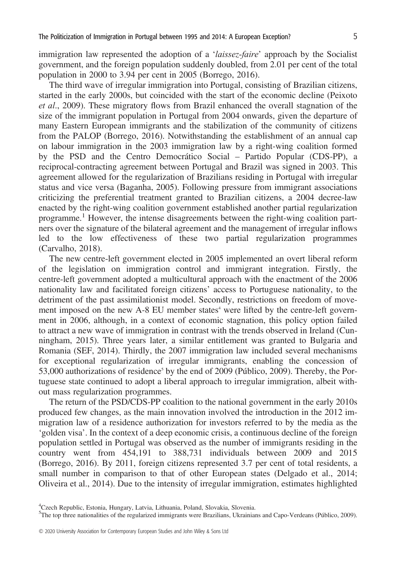immigration law represented the adoption of a '*laissez-faire*' approach by the Socialist government, and the foreign population suddenly doubled, from 2.01 per cent of the total population in 2000 to 3.94 per cent in 2005 (Borrego, 2016).

The third wave of irregular immigration into Portugal, consisting of Brazilian citizens, started in the early 2000s, but coincided with the start of the economic decline (Peixoto *et al*., 2009). These migratory flows from Brazil enhanced the overall stagnation of the size of the immigrant population in Portugal from 2004 onwards, given the departure of many Eastern European immigrants and the stabilization of the community of citizens from the PALOP (Borrego, 2016). Notwithstanding the establishment of an annual cap on labour immigration in the 2003 immigration law by a right-wing coalition formed by the PSD and the Centro Democrático Social – Partido Popular (CDS-PP), a reciprocal-contracting agreement between Portugal and Brazil was signed in 2003. This agreement allowed for the regularization of Brazilians residing in Portugal with irregular status and vice versa (Baganha, 2005). Following pressure from immigrant associations criticizing the preferential treatment granted to Brazilian citizens, a 2004 decree-law enacted by the right-wing coalition government established another partial regularization programme.<sup>1</sup> However, the intense disagreements between the right-wing coalition partners over the signature of the bilateral agreement and the management of irregular inflows led to the low effectiveness of these two partial regularization programmes (Carvalho, 2018).

The new centre-left government elected in 2005 implemented an overt liberal reform of the legislation on immigration control and immigrant integration. Firstly, the centre-left government adopted a multicultural approach with the enactment of the 2006 nationality law and facilitated foreign citizens' access to Portuguese nationality, to the detriment of the past assimilationist model. Secondly, restrictions on freedom of movement imposed on the new  $A - 8$  EU member states<sup>4</sup> were lifted by the centre-left government in 2006, although, in a context of economic stagnation, this policy option failed to attract a new wave of immigration in contrast with the trends observed in Ireland (Cunningham, 2015). Three years later, a similar entitlement was granted to Bulgaria and Romania (SEF, 2014). Thirdly, the 2007 immigration law included several mechanisms for exceptional regularization of irregular immigrants, enabling the concession of 53,000 authorizations of residence<sup>5</sup> by the end of 2009 (Público, 2009). Thereby, the Portuguese state continued to adopt a liberal approach to irregular immigration, albeit without mass regularization programmes.

The return of the PSD/CDS-PP coalition to the national government in the early 2010s produced few changes, as the main innovation involved the introduction in the 2012 immigration law of a residence authorization for investors referred to by the media as the 'golden visa'. In the context of a deep economic crisis, a continuous decline of the foreign population settled in Portugal was observed as the number of immigrants residing in the country went from 454,191 to 388,731 individuals between 2009 and 2015 (Borrego, 2016). By 2011, foreign citizens represented 3.7 per cent of total residents, a small number in comparison to that of other European states (Delgado et al., 2014; Oliveira et al., 2014). Due to the intensity of irregular immigration, estimates highlighted

<sup>4</sup> Czech Republic, Estonia, Hungary, Latvia, Lithuania, Poland, Slovakia, Slovenia.

<sup>&</sup>lt;sup>5</sup>The top three nationalities of the regularized immigrants were Brazilians, Ukrainians and Capo-Verdeans (Público, 2009).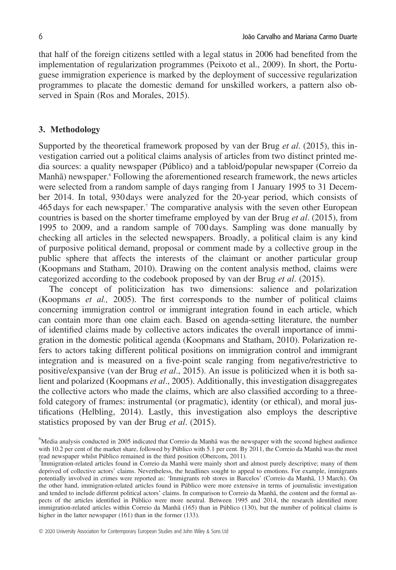that half of the foreign citizens settled with a legal status in 2006 had benefited from the implementation of regularization programmes (Peixoto et al., 2009). In short, the Portuguese immigration experience is marked by the deployment of successive regularization programmes to placate the domestic demand for unskilled workers, a pattern also observed in Spain (Ros and Morales, 2015).

#### **3. Methodology**

Supported by the theoretical framework proposed by van der Brug *et al*. (2015), this investigation carried out a political claims analysis of articles from two distinct printed media sources: a quality newspaper (Público) and a tabloid/popular newspaper (Correio da Manhã) newspaper.<sup>6</sup> Following the aforementioned research framework, the news articles were selected from a random sample of days ranging from 1 January 1995 to 31 December 2014. In total, 930 days were analyzed for the 20-year period, which consists of 465 days for each newspaper.7 The comparative analysis with the seven other European countries is based on the shorter timeframe employed by van der Brug *et al*. (2015), from 1995 to 2009, and a random sample of 700 days. Sampling was done manually by checking all articles in the selected newspapers. Broadly, a political claim is any kind of purposive political demand, proposal or comment made by a collective group in the public sphere that affects the interests of the claimant or another particular group (Koopmans and Statham, 2010). Drawing on the content analysis method, claims were categorized according to the codebook proposed by van der Brug *et al*. (2015).

The concept of politicization has two dimensions: salience and polarization (Koopmans *et al.,* 2005). The first corresponds to the number of political claims concerning immigration control or immigrant integration found in each article, which can contain more than one claim each. Based on agenda-setting literature, the number of identified claims made by collective actors indicates the overall importance of immigration in the domestic political agenda (Koopmans and Statham, 2010). Polarization refers to actors taking different political positions on immigration control and immigrant integration and is measured on a five-point scale ranging from negative/restrictive to positive/expansive (van der Brug *et al*., 2015). An issue is politicized when it is both salient and polarized (Koopmans *et al*., 2005). Additionally, this investigation disaggregates the collective actors who made the claims, which are also classified according to a threefold category of frames: instrumental (or pragmatic), identity (or ethical), and moral justifications (Helbling, 2014). Lastly, this investigation also employs the descriptive statistics proposed by van der Brug *et al*. (2015).

<sup>&</sup>lt;sup>6</sup>Media analysis conducted in 2005 indicated that Correio da Manhã was the newspaper with the second highest audience with 10.2 per cent of the market share, followed by Público with 5.1 per cent. By 2011, the Correio da Manhã was the most read newspaper whilst Público remained in the third position (Obercom, 2011).

<sup>7</sup> Immigration-related articles found in Correio da Manhã were mainly short and almost purely descriptive; many of them deprived of collective actors' claims. Nevertheless, the headlines sought to appeal to emotions. For example, immigrants potentially involved in crimes were reported as: 'Immigrants rob stores in Barcelos' (Correio da Manhã, 13 March). On the other hand, immigration-related articles found in Público were more extensive in terms of journalistic investigation and tended to include different political actors' claims. In comparison to Correio da Manhã, the content and the formal aspects of the articles identified in Público were more neutral. Between 1995 and 2014, the research identified more immigration-related articles within Correio da Manhã (165) than in Público (130), but the number of political claims is higher in the latter newspaper (161) than in the former (133).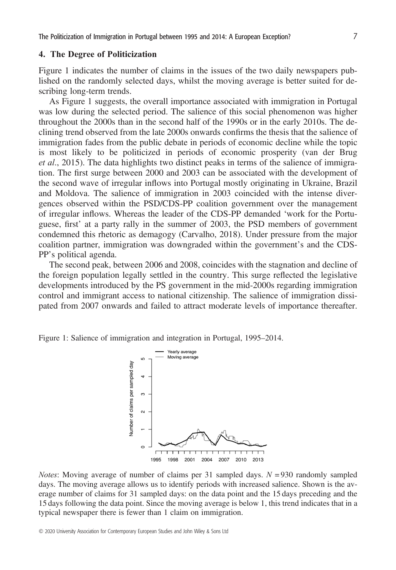# **4. The Degree of Politicization**

Figure 1 indicates the number of claims in the issues of the two daily newspapers published on the randomly selected days, whilst the moving average is better suited for describing long-term trends.

As Figure 1 suggests, the overall importance associated with immigration in Portugal was low during the selected period. The salience of this social phenomenon was higher throughout the 2000s than in the second half of the 1990s or in the early 2010s. The declining trend observed from the late 2000s onwards confirms the thesis that the salience of immigration fades from the public debate in periods of economic decline while the topic is most likely to be politicized in periods of economic prosperity (van der Brug *et al*., 2015). The data highlights two distinct peaks in terms of the salience of immigration. The first surge between 2000 and 2003 can be associated with the development of the second wave of irregular inflows into Portugal mostly originating in Ukraine, Brazil and Moldova. The salience of immigration in 2003 coincided with the intense divergences observed within the PSD/CDS-PP coalition government over the management of irregular inflows. Whereas the leader of the CDS-PP demanded 'work for the Portuguese, first' at a party rally in the summer of 2003, the PSD members of government condemned this rhetoric as demagogy (Carvalho, 2018). Under pressure from the major coalition partner, immigration was downgraded within the government's and the CDS-PP's political agenda.

The second peak, between 2006 and 2008, coincides with the stagnation and decline of the foreign population legally settled in the country. This surge reflected the legislative developments introduced by the PS government in the mid-2000s regarding immigration control and immigrant access to national citizenship. The salience of immigration dissipated from 2007 onwards and failed to attract moderate levels of importance thereafter.

Figure 1: Salience of immigration and integration in Portugal, 1995–2014.



*Notes*: Moving average of number of claims per 31 sampled days. *N* = 930 randomly sampled days. The moving average allows us to identify periods with increased salience. Shown is the average number of claims for 31 sampled days: on the data point and the 15 days preceding and the 15 days following the data point. Since the moving average is below 1, this trend indicates that in a typical newspaper there is fewer than 1 claim on immigration.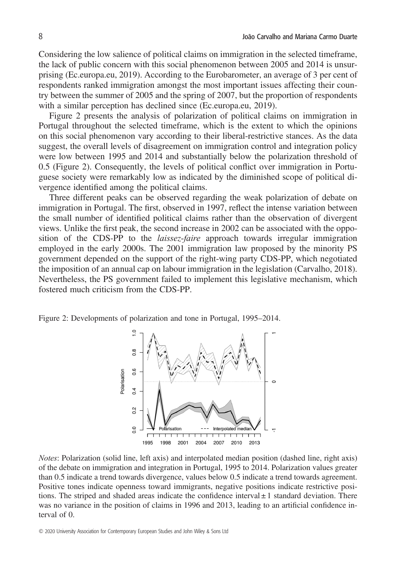Considering the low salience of political claims on immigration in the selected timeframe, the lack of public concern with this social phenomenon between 2005 and 2014 is unsurprising (Ec.europa.eu, 2019). According to the Eurobarometer, an average of 3 per cent of respondents ranked immigration amongst the most important issues affecting their country between the summer of 2005 and the spring of 2007, but the proportion of respondents with a similar perception has declined since (Ec.europa.eu, 2019).

Figure 2 presents the analysis of polarization of political claims on immigration in Portugal throughout the selected timeframe, which is the extent to which the opinions on this social phenomenon vary according to their liberal-restrictive stances. As the data suggest, the overall levels of disagreement on immigration control and integration policy were low between 1995 and 2014 and substantially below the polarization threshold of 0.5 (Figure 2). Consequently, the levels of political conflict over immigration in Portuguese society were remarkably low as indicated by the diminished scope of political divergence identified among the political claims.

Three different peaks can be observed regarding the weak polarization of debate on immigration in Portugal. The first, observed in 1997, reflect the intense variation between the small number of identified political claims rather than the observation of divergent views. Unlike the first peak, the second increase in 2002 can be associated with the opposition of the CDS-PP to the *laissez-faire* approach towards irregular immigration employed in the early 2000s. The 2001 immigration law proposed by the minority PS government depended on the support of the right-wing party CDS-PP, which negotiated the imposition of an annual cap on labour immigration in the legislation (Carvalho, 2018). Nevertheless, the PS government failed to implement this legislative mechanism, which fostered much criticism from the CDS-PP.





*Notes*: Polarization (solid line, left axis) and interpolated median position (dashed line, right axis) of the debate on immigration and integration in Portugal, 1995 to 2014. Polarization values greater than 0.5 indicate a trend towards divergence, values below 0.5 indicate a trend towards agreement. Positive tones indicate openness toward immigrants, negative positions indicate restrictive positions. The striped and shaded areas indicate the confidence interval  $\pm 1$  standard deviation. There was no variance in the position of claims in 1996 and 2013, leading to an artificial confidence interval of 0.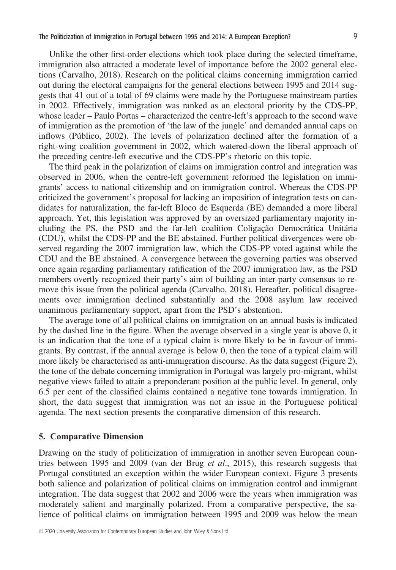Unlike the other first-order elections which took place during the selected timeframe, immigration also attracted a moderate level of importance before the 2002 general elections (Carvalho, 2018). Research on the political claims concerning immigration carried out during the electoral campaigns for the general elections between 1995 and 2014 suggests that 41 out of a total of 69 claims were made by the Portuguese mainstream parties in 2002. Effectively, immigration was ranked as an electoral priority by the CDS-PP, whose leader – Paulo Portas – characterized the centre-left's approach to the second wave of immigration as the promotion of 'the law of the jungle' and demanded annual caps on inflows (Público, 2002). The levels of polarization declined after the formation of a right-wing coalition government in 2002, which watered-down the liberal approach of the preceding centre-left executive and the CDS-PP's rhetoric on this topic.

The third peak in the polarization of claims on immigration control and integration was observed in 2006, when the centre-left government reformed the legislation on immigrants' access to national citizenship and on immigration control. Whereas the CDS-PP criticized the government's proposal for lacking an imposition of integration tests on candidates for naturalization, the far-left Bloco de Esquerda (BE) demanded a more liberal approach. Yet, this legislation was approved by an oversized parliamentary majority including the PS, the PSD and the far-left coalition Coligação Democrática Unitária (CDU), whilst the CDS-PP and the BE abstained. Further political divergences were observed regarding the 2007 immigration law, which the CDS-PP voted against while the CDU and the BE abstained. A convergence between the governing parties was observed once again regarding parliamentary ratification of the 2007 immigration law, as the PSD members overtly recognized their party's aim of building an inter-party consensus to remove this issue from the political agenda (Carvalho, 2018). Hereafter, political disagreements over immigration declined substantially and the 2008 asylum law received unanimous parliamentary support, apart from the PSD's abstention.

The average tone of all political claims on immigration on an annual basis is indicated by the dashed line in the figure. When the average observed in a single year is above 0, it is an indication that the tone of a typical claim is more likely to be in favour of immigrants. By contrast, if the annual average is below 0, then the tone of a typical claim will more likely be characterised as anti-immigration discourse. As the data suggest (Figure 2), the tone of the debate concerning immigration in Portugal was largely pro-migrant, whilst negative views failed to attain a preponderant position at the public level. In general, only 6.5 per cent of the classified claims contained a negative tone towards immigration. In short, the data suggest that immigration was not an issue in the Portuguese political agenda. The next section presents the comparative dimension of this research.

### **5. Comparative Dimension**

Drawing on the study of politicization of immigration in another seven European countries between 1995 and 2009 (van der Brug *et al*., 2015), this research suggests that Portugal constituted an exception within the wider European context. Figure 3 presents both salience and polarization of political claims on immigration control and immigrant integration. The data suggest that 2002 and 2006 were the years when immigration was moderately salient and marginally polarized. From a comparative perspective, the salience of political claims on immigration between 1995 and 2009 was below the mean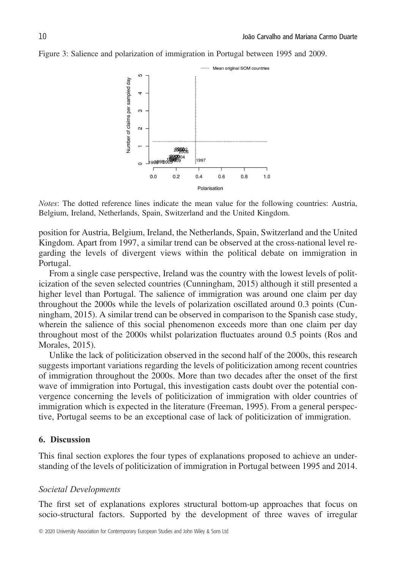



*Notes*: The dotted reference lines indicate the mean value for the following countries: Austria, Belgium, Ireland, Netherlands, Spain, Switzerland and the United Kingdom.

position for Austria, Belgium, Ireland, the Netherlands, Spain, Switzerland and the United Kingdom. Apart from 1997, a similar trend can be observed at the cross-national level regarding the levels of divergent views within the political debate on immigration in Portugal.

From a single case perspective, Ireland was the country with the lowest levels of politicization of the seven selected countries (Cunningham, 2015) although it still presented a higher level than Portugal. The salience of immigration was around one claim per day throughout the 2000s while the levels of polarization oscillated around 0.3 points (Cunningham, 2015). A similar trend can be observed in comparison to the Spanish case study, wherein the salience of this social phenomenon exceeds more than one claim per day throughout most of the 2000s whilst polarization fluctuates around 0.5 points (Ros and Morales, 2015).

Unlike the lack of politicization observed in the second half of the 2000s, this research suggests important variations regarding the levels of politicization among recent countries of immigration throughout the 2000s. More than two decades after the onset of the first wave of immigration into Portugal, this investigation casts doubt over the potential convergence concerning the levels of politicization of immigration with older countries of immigration which is expected in the literature (Freeman, 1995). From a general perspective, Portugal seems to be an exceptional case of lack of politicization of immigration.

# **6. Discussion**

This final section explores the four types of explanations proposed to achieve an understanding of the levels of politicization of immigration in Portugal between 1995 and 2014.

#### *Societal Developments*

The first set of explanations explores structural bottom-up approaches that focus on socio-structural factors. Supported by the development of three waves of irregular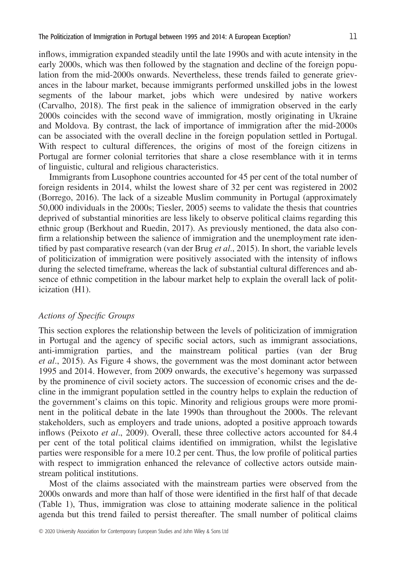inflows, immigration expanded steadily until the late 1990s and with acute intensity in the early 2000s, which was then followed by the stagnation and decline of the foreign population from the mid-2000s onwards. Nevertheless, these trends failed to generate grievances in the labour market, because immigrants performed unskilled jobs in the lowest segments of the labour market, jobs which were undesired by native workers (Carvalho, 2018). The first peak in the salience of immigration observed in the early 2000s coincides with the second wave of immigration, mostly originating in Ukraine and Moldova. By contrast, the lack of importance of immigration after the mid-2000s can be associated with the overall decline in the foreign population settled in Portugal. With respect to cultural differences, the origins of most of the foreign citizens in Portugal are former colonial territories that share a close resemblance with it in terms of linguistic, cultural and religious characteristics.

Immigrants from Lusophone countries accounted for 45 per cent of the total number of foreign residents in 2014, whilst the lowest share of 32 per cent was registered in 2002 (Borrego, 2016). The lack of a sizeable Muslim community in Portugal (approximately 50,000 individuals in the 2000s; Tiesler, 2005) seems to validate the thesis that countries deprived of substantial minorities are less likely to observe political claims regarding this ethnic group (Berkhout and Ruedin, 2017). As previously mentioned, the data also confirm a relationship between the salience of immigration and the unemployment rate identified by past comparative research (van der Brug *et al*., 2015). In short, the variable levels of politicization of immigration were positively associated with the intensity of inflows during the selected timeframe, whereas the lack of substantial cultural differences and absence of ethnic competition in the labour market help to explain the overall lack of politicization (H1).

# *Actions of Specific Groups*

This section explores the relationship between the levels of politicization of immigration in Portugal and the agency of specific social actors, such as immigrant associations, anti-immigration parties, and the mainstream political parties (van der Brug *et al*., 2015). As Figure 4 shows, the government was the most dominant actor between 1995 and 2014. However, from 2009 onwards, the executive's hegemony was surpassed by the prominence of civil society actors. The succession of economic crises and the decline in the immigrant population settled in the country helps to explain the reduction of the government's claims on this topic. Minority and religious groups were more prominent in the political debate in the late 1990s than throughout the 2000s. The relevant stakeholders, such as employers and trade unions, adopted a positive approach towards inflows (Peixoto *et al*., 2009). Overall, these three collective actors accounted for 84.4 per cent of the total political claims identified on immigration, whilst the legislative parties were responsible for a mere 10.2 per cent. Thus, the low profile of political parties with respect to immigration enhanced the relevance of collective actors outside mainstream political institutions.

Most of the claims associated with the mainstream parties were observed from the 2000s onwards and more than half of those were identified in the first half of that decade (Table 1), Thus, immigration was close to attaining moderate salience in the political agenda but this trend failed to persist thereafter. The small number of political claims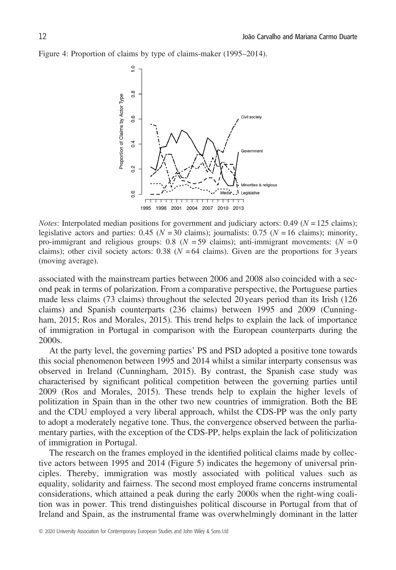Figure 4: Proportion of claims by type of claims-maker (1995–2014).



*Notes*: Interpolated median positions for government and judiciary actors:  $0.49$  ( $N = 125$  claims); legislative actors and parties:  $0.45$  ( $N = 30$  claims); journalists:  $0.75$  ( $N = 16$  claims); minority, pro-immigrant and religious groups:  $0.8$  ( $N = 59$  claims); anti-immigrant movements: ( $N = 0$ ) claims); other civil society actors: 0.38 ( $N = 64$  claims). Given are the proportions for 3 years (moving average).

associated with the mainstream parties between 2006 and 2008 also coincided with a second peak in terms of polarization. From a comparative perspective, the Portuguese parties made less claims (73 claims) throughout the selected 20 years period than its Irish (126 claims) and Spanish counterparts (236 claims) between 1995 and 2009 (Cunningham, 2015; Ros and Morales, 2015). This trend helps to explain the lack of importance of immigration in Portugal in comparison with the European counterparts during the 2000s.

At the party level, the governing parties' PS and PSD adopted a positive tone towards this social phenomenon between 1995 and 2014 whilst a similar interparty consensus was observed in Ireland (Cunningham, 2015). By contrast, the Spanish case study was characterised by significant political competition between the governing parties until 2009 (Ros and Morales, 2015). These trends help to explain the higher levels of politization in Spain than in the other two new countries of immigration. Both the BE and the CDU employed a very liberal approach, whilst the CDS-PP was the only party to adopt a moderately negative tone. Thus, the convergence observed between the parliamentary parties, with the exception of the CDS-PP, helps explain the lack of politicization of immigration in Portugal.

The research on the frames employed in the identified political claims made by collective actors between 1995 and 2014 (Figure 5) indicates the hegemony of universal principles. Thereby, immigration was mostly associated with political values such as equality, solidarity and fairness. The second most employed frame concerns instrumental considerations, which attained a peak during the early 2000s when the right-wing coalition was in power. This trend distinguishes political discourse in Portugal from that of Ireland and Spain, as the instrumental frame was overwhelmingly dominant in the latter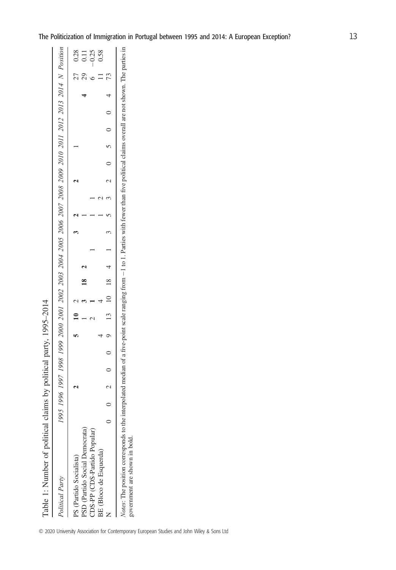Table 1: Number of political claims by political party, 1995-2014 Table 1: Number of political claims by political party, 1995–2014

| PS (Partido Socialista)        |  |  |  |  |  |  |  |  |  |  |                |
|--------------------------------|--|--|--|--|--|--|--|--|--|--|----------------|
| PSD (Partido Social Democrata) |  |  |  |  |  |  |  |  |  |  | $\overline{0}$ |
| CDS-PP (CDS-Partido Popular)   |  |  |  |  |  |  |  |  |  |  | $-0.25$        |
| BE (Bloco de Esquerda)         |  |  |  |  |  |  |  |  |  |  | 0.58           |
|                                |  |  |  |  |  |  |  |  |  |  |                |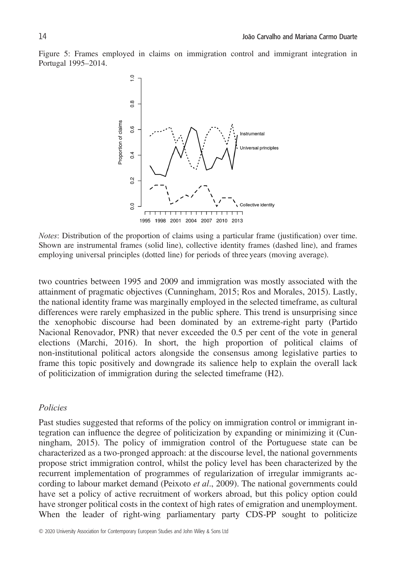Figure 5: Frames employed in claims on immigration control and immigrant integration in Portugal 1995–2014.



*Notes*: Distribution of the proportion of claims using a particular frame (justification) over time. Shown are instrumental frames (solid line), collective identity frames (dashed line), and frames employing universal principles (dotted line) for periods of three years (moving average).

two countries between 1995 and 2009 and immigration was mostly associated with the attainment of pragmatic objectives (Cunningham, 2015; Ros and Morales, 2015). Lastly, the national identity frame was marginally employed in the selected timeframe, as cultural differences were rarely emphasized in the public sphere. This trend is unsurprising since the xenophobic discourse had been dominated by an extreme-right party (Partido Nacional Renovador, PNR) that never exceeded the 0.5 per cent of the vote in general elections (Marchi, 2016). In short, the high proportion of political claims of non-institutional political actors alongside the consensus among legislative parties to frame this topic positively and downgrade its salience help to explain the overall lack of politicization of immigration during the selected timeframe (H2).

# *Policies*

Past studies suggested that reforms of the policy on immigration control or immigrant integration can influence the degree of politicization by expanding or minimizing it (Cunningham, 2015). The policy of immigration control of the Portuguese state can be characterized as a two-pronged approach: at the discourse level, the national governments propose strict immigration control, whilst the policy level has been characterized by the recurrent implementation of programmes of regularization of irregular immigrants according to labour market demand (Peixoto *et al*., 2009). The national governments could have set a policy of active recruitment of workers abroad, but this policy option could have stronger political costs in the context of high rates of emigration and unemployment. When the leader of right-wing parliamentary party CDS-PP sought to politicize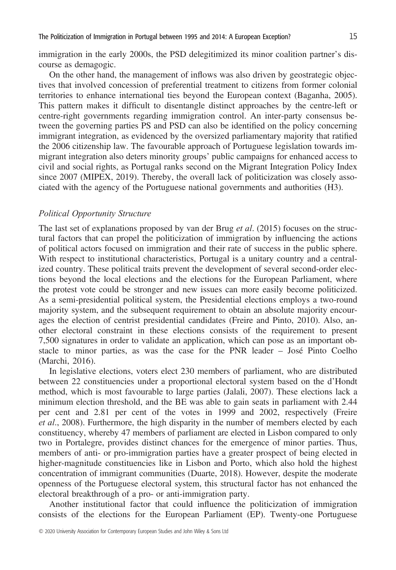immigration in the early 2000s, the PSD delegitimized its minor coalition partner's discourse as demagogic.

On the other hand, the management of inflows was also driven by geostrategic objectives that involved concession of preferential treatment to citizens from former colonial territories to enhance international ties beyond the European context (Baganha, 2005). This pattern makes it difficult to disentangle distinct approaches by the centre-left or centre-right governments regarding immigration control. An inter-party consensus between the governing parties PS and PSD can also be identified on the policy concerning immigrant integration, as evidenced by the oversized parliamentary majority that ratified the 2006 citizenship law. The favourable approach of Portuguese legislation towards immigrant integration also deters minority groups' public campaigns for enhanced access to civil and social rights, as Portugal ranks second on the Migrant Integration Policy Index since 2007 (MIPEX, 2019). Thereby, the overall lack of politicization was closely associated with the agency of the Portuguese national governments and authorities (H3).

# *Political Opportunity Structure*

The last set of explanations proposed by van der Brug *et al*. (2015) focuses on the structural factors that can propel the politicization of immigration by influencing the actions of political actors focused on immigration and their rate of success in the public sphere. With respect to institutional characteristics, Portugal is a unitary country and a centralized country. These political traits prevent the development of several second-order elections beyond the local elections and the elections for the European Parliament, where the protest vote could be stronger and new issues can more easily become politicized. As a semi-presidential political system, the Presidential elections employs a two-round majority system, and the subsequent requirement to obtain an absolute majority encourages the election of centrist presidential candidates (Freire and Pinto, 2010). Also, another electoral constraint in these elections consists of the requirement to present 7,500 signatures in order to validate an application, which can pose as an important obstacle to minor parties, as was the case for the PNR leader – José Pinto Coelho (Marchi, 2016).

In legislative elections, voters elect 230 members of parliament, who are distributed between 22 constituencies under a proportional electoral system based on the d'Hondt method, which is most favourable to large parties (Jalali, 2007). These elections lack a minimum election threshold, and the BE was able to gain seats in parliament with 2.44 per cent and 2.81 per cent of the votes in 1999 and 2002, respectively (Freire *et al*., 2008). Furthermore, the high disparity in the number of members elected by each constituency, whereby 47 members of parliament are elected in Lisbon compared to only two in Portalegre, provides distinct chances for the emergence of minor parties. Thus, members of anti- or pro-immigration parties have a greater prospect of being elected in higher-magnitude constituencies like in Lisbon and Porto, which also hold the highest concentration of immigrant communities (Duarte, 2018). However, despite the moderate openness of the Portuguese electoral system, this structural factor has not enhanced the electoral breakthrough of a pro- or anti-immigration party.

Another institutional factor that could influence the politicization of immigration consists of the elections for the European Parliament (EP). Twenty-one Portuguese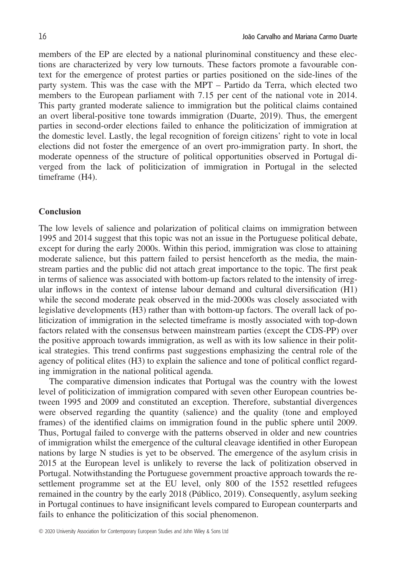members of the EP are elected by a national plurinominal constituency and these elections are characterized by very low turnouts. These factors promote a favourable context for the emergence of protest parties or parties positioned on the side-lines of the party system. This was the case with the MPT – Partido da Terra, which elected two members to the European parliament with 7.15 per cent of the national vote in 2014. This party granted moderate salience to immigration but the political claims contained an overt liberal-positive tone towards immigration (Duarte, 2019). Thus, the emergent parties in second-order elections failed to enhance the politicization of immigration at the domestic level. Lastly, the legal recognition of foreign citizens' right to vote in local elections did not foster the emergence of an overt pro-immigration party. In short, the moderate openness of the structure of political opportunities observed in Portugal diverged from the lack of politicization of immigration in Portugal in the selected timeframe (H4).

#### **Conclusion**

The low levels of salience and polarization of political claims on immigration between 1995 and 2014 suggest that this topic was not an issue in the Portuguese political debate, except for during the early 2000s. Within this period, immigration was close to attaining moderate salience, but this pattern failed to persist henceforth as the media, the mainstream parties and the public did not attach great importance to the topic. The first peak in terms of salience was associated with bottom-up factors related to the intensity of irregular inflows in the context of intense labour demand and cultural diversification (H1) while the second moderate peak observed in the mid-2000s was closely associated with legislative developments (H3) rather than with bottom-up factors. The overall lack of politicization of immigration in the selected timeframe is mostly associated with top-down factors related with the consensus between mainstream parties (except the CDS-PP) over the positive approach towards immigration, as well as with its low salience in their political strategies. This trend confirms past suggestions emphasizing the central role of the agency of political elites (H3) to explain the salience and tone of political conflict regarding immigration in the national political agenda.

The comparative dimension indicates that Portugal was the country with the lowest level of politicization of immigration compared with seven other European countries between 1995 and 2009 and constituted an exception. Therefore, substantial divergences were observed regarding the quantity (salience) and the quality (tone and employed frames) of the identified claims on immigration found in the public sphere until 2009. Thus, Portugal failed to converge with the patterns observed in older and new countries of immigration whilst the emergence of the cultural cleavage identified in other European nations by large N studies is yet to be observed. The emergence of the asylum crisis in 2015 at the European level is unlikely to reverse the lack of politization observed in Portugal. Notwithstanding the Portuguese government proactive approach towards the resettlement programme set at the EU level, only 800 of the 1552 resettled refugees remained in the country by the early 2018 (Público, 2019). Consequently, asylum seeking in Portugal continues to have insignificant levels compared to European counterparts and fails to enhance the politicization of this social phenomenon.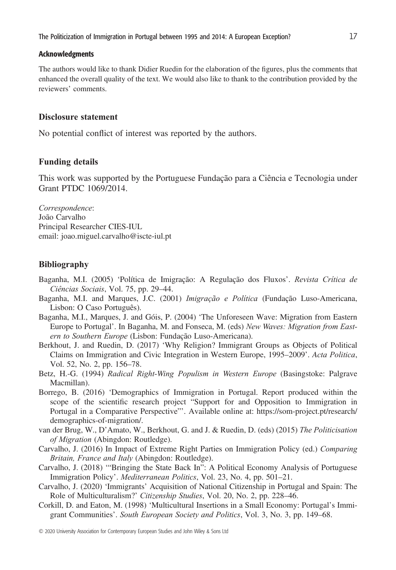# Acknowledgments

The authors would like to thank Didier Ruedin for the elaboration of the figures, plus the comments that enhanced the overall quality of the text. We would also like to thank to the contribution provided by the reviewers' comments.

# **Disclosure statement**

No potential conflict of interest was reported by the authors.

# **Funding details**

This work was supported by the Portuguese Fundação para a Ciência e Tecnologia under Grant PTDC 1069/2014.

*Correspondence*: João Carvalho Principal Researcher CIES-IUL email: [joao.miguel.carvalho@iscte-iul.pt](mailto:joao.miguel.carvalho@iscte-iul.pt)

# **Bibliography**

- Baganha, M.I. (2005) 'Política de Imigração: A Regulação dos Fluxos'. *Revista Crítica de Ciências Sociais*, Vol. 75, pp. 29–44.
- Baganha, M.I. and Marques, J.C. (2001) *Imigração e Política* (Fundação Luso-Americana, Lisbon: O Caso Português).
- Baganha, M.I., Marques, J. and Góis, P. (2004) 'The Unforeseen Wave: Migration from Eastern Europe to Portugal'. In Baganha, M. and Fonseca, M. (eds) *New Waves: Migration from Eastern to Southern Europe* (Lisbon: Fundação Luso-Americana).
- Berkhout, J. and Ruedin, D. (2017) 'Why Religion? Immigrant Groups as Objects of Political Claims on Immigration and Civic Integration in Western Europe, 1995–2009'. *Acta Politica*, Vol. 52, No. 2, pp. 156–78.
- Betz, H.-G. (1994) *Radical Right-Wing Populism in Western Europe* (Basingstoke: Palgrave Macmillan).
- Borrego, B. (2016) 'Demographics of Immigration in Portugal. Report produced within the scope of the scientific research project "Support for and Opposition to Immigration in Portugal in a Comparative Perspective"'. Available online at: [https://som-project.pt/research/](https://som-project.pt/research/demographics-of-migration/) [demographics-of-migration/.](https://som-project.pt/research/demographics-of-migration/)
- van der Brug, W., D'Amato, W., Berkhout, G. and J. & Ruedin, D. (eds) (2015) *The Politicisation of Migration* (Abingdon: Routledge).
- Carvalho, J. (2016) In Impact of Extreme Right Parties on Immigration Policy (ed.) *Comparing Britain, France and Italy* (Abingdon: Routledge).
- Carvalho, J. (2018) '"Bringing the State Back In": A Political Economy Analysis of Portuguese Immigration Policy'. *Mediterranean Politics*, Vol. 23, No. 4, pp. 501–21.
- Carvalho, J. (2020) 'Immigrants' Acquisition of National Citizenship in Portugal and Spain: The Role of Multiculturalism?' *Citizenship Studies*, Vol. 20, No. 2, pp. 228–46.
- Corkill, D. and Eaton, M. (1998) 'Multicultural Insertions in a Small Economy: Portugal's Immigrant Communities'. *South European Society and Politics*, Vol. 3, No. 3, pp. 149–68.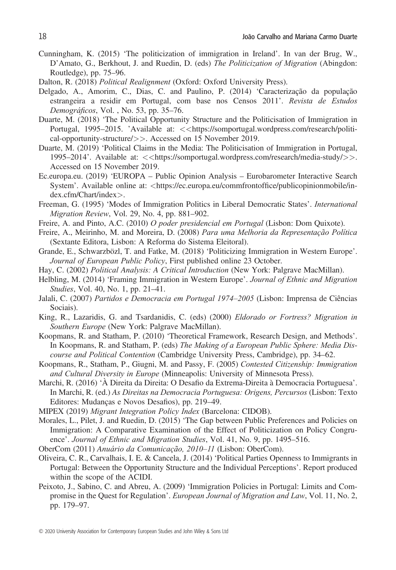- Cunningham, K. (2015) 'The politicization of immigration in Ireland'. In van der Brug, W., D'Amato, G., Berkhout, J. and Ruedin, D. (eds) *The Politicization of Migration* (Abingdon: Routledge), pp. 75–96.
- Dalton, R. (2018) *Political Realignment* (Oxford: Oxford University Press).
- Delgado, A., Amorim, C., Dias, C. and Paulino, P. (2014) 'Caracterização da população estrangeira a residir em Portugal, com base nos Censos 2011'. *Revista de Estudos Demográficos*, Vol. , No. 53, pp. 35–76.
- Duarte, M. (2018) 'The Political Opportunity Structure and the Politicisation of Immigration in Portugal, 1995–2015. 'Available at: *<<*[https://somportugal.wordpress.com/research/politi](https://somportugal.wordpress.com/research/political-opportunity-structure/)[cal-opportunity-structure/](https://somportugal.wordpress.com/research/political-opportunity-structure/)*>>*. Accessed on 15 November 2019.
- Duarte, M. (2019) 'Political Claims in the Media: The Politicisation of Immigration in Portugal, 1995–2014'. Available at: *<<*<https://somportugal.wordpress.com/research/media-study/>*>>*. Accessed on 15 November 2019.
- Ec.europa.eu. (2019) 'EUROPA Public Opinion Analysis Eurobarometer Interactive Search System'. Available online at: *<*[https://ec.europa.eu/commfrontof](https://ec.europa.eu/commfrontoffice/publicopinionmobile/index.cfm/Chart/index)fice/publicopinionmobile/in[dex.cfm/Chart/index](https://ec.europa.eu/commfrontoffice/publicopinionmobile/index.cfm/Chart/index)*>*.
- Freeman, G. (1995) 'Modes of Immigration Politics in Liberal Democratic States'. *International Migration Review*, Vol. 29, No. 4, pp. 881–902.
- Freire, A. and Pinto, A.C. (2010) *O poder presidencial em Portugal* (Lisbon: Dom Quixote).
- Freire, A., Meirinho, M. and Moreira, D. (2008) *Para uma Melhoria da Representação Política* (Sextante Editora, Lisbon: A Reforma do Sistema Eleitoral).
- Grande, E., Schwarzbözl, T. and Fatke, M. (2018) 'Politicizing Immigration in Western Europe'. *Journal of European Public Policy*, First published online 23 October.
- Hay, C. (2002) *Political Analysis: A Critical Introduction* (New York: Palgrave MacMillan).
- Helbling, M. (2014) 'Framing Immigration in Western Europe'. *Journal of Ethnic and Migration Studies*, Vol. 40, No. 1, pp. 21–41.
- Jalali, C. (2007) *Partidos e Democracia em Portugal 1974–2005* (Lisbon: Imprensa de Ciências Sociais).
- King, R., Lazaridis, G. and Tsardanidis, C. (eds) (2000) *Eldorado or Fortress? Migration in Southern Europe* (New York: Palgrave MacMillan).
- Koopmans, R. and Statham, P. (2010) 'Theoretical Framework, Research Design, and Methods'. In Koopmans, R. and Statham, P. (eds) *The Making of a European Public Sphere: Media Discourse and Political Contention* (Cambridge University Press, Cambridge), pp. 34–62.
- Koopmans, R., Statham, P., Giugni, M. and Passy, F. (2005) *Contested Citizenship: Immigration and Cultural Diversity in Europe* (Minneapolis: University of Minnesota Press).
- Marchi, R. (2016) 'À Direita da Direita: O Desafio da Extrema-Direita à Democracia Portuguesa'. In Marchi, R. (ed.) *As Direitas na Democracia Portuguesa: Origens, Percursos* (Lisbon: Texto Editores: Mudanças e Novos Desafios), pp. 219–49.
- MIPEX (2019) *Migrant Integration Policy Index* (Barcelona: CIDOB).
- Morales, L., Pilet, J. and Ruedin, D. (2015) 'The Gap between Public Preferences and Policies on Immigration: A Comparative Examination of the Effect of Politicization on Policy Congruence'. *Journal of Ethnic and Migration Studies*, Vol. 41, No. 9, pp. 1495–516.
- OberCom (2011) *Anuário da Comunicação, 2010–11* (Lisbon: OberCom).
- Oliveira, C. R., Carvalhais, I. E. & Cancela, J. (2014) 'Political Parties Openness to Immigrants in Portugal: Between the Opportunity Structure and the Individual Perceptions'. Report produced within the scope of the ACIDI.
- Peixoto, J., Sabino, C. and Abreu, A. (2009) 'Immigration Policies in Portugal: Limits and Compromise in the Quest for Regulation'. *European Journal of Migration and Law*, Vol. 11, No. 2, pp. 179–97.

© 2020 University Association for Contemporary European Studies and John Wiley & Sons Ltd